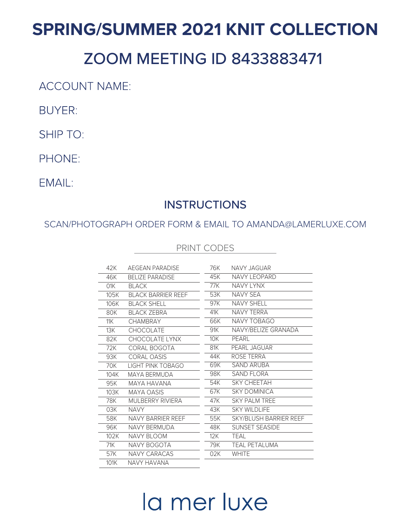## **SPRING/SUMMER 2021 KNIT COLLECTION**

## ZOOM MEETING ID 8433883471

**ACCOUNT NAME:** 

**BUYER:** 

**SHIP TO:** 

PHONE:

EMAIL:

### **INSTRUCTIONS**

SCAN/PHOTOGRAPH ORDER FORM & EMAIL TO AMANDA@LAMERLUXE.COM

#### PRINT CODES

| 42K  | AFGFAN PARADISF           | 76K | NAVY JAGUAR                   |
|------|---------------------------|-----|-------------------------------|
| 46K  | <b>BELIZE PARADISE</b>    | 45K | <b>NAVY LEOPARD</b>           |
| 01K  | <b>BLACK</b>              | 77K | <b>NAVY LYNX</b>              |
| 105K | <b>BLACK BARRIER REEF</b> | 53K | NAVY SFA                      |
| 106K | BLACK SHELL               | 97K | <b>NAVY SHELL</b>             |
| 80K  | <b>BI ACK 7FBRA</b>       | 41K | NAVY TFRRA                    |
| 11K  | <b>CHAMBRAY</b>           | 66K | NAVY TOBAGO                   |
| 13K  | CHOCOLATE                 | 91K | NAVY/BELIZE GRANADA           |
| 82K  | CHOCOLATE LYNX            | 10K | PFARI                         |
| 72K  | CORAL BOGOTA              | 81K | PEARL JAGUAR                  |
| 93K  | CORAL OASIS               | 44K | ROSE TERRA                    |
| 70K  | LIGHT PINK TOBAGO         | 69K | SAND ARURA                    |
| 104K | MAYA BERMUDA              | 98K | SAND FLORA                    |
| 95K  | <b>MAYA HAVANA</b>        | 54K | <b>SKY CHEFTAH</b>            |
| 103K | <b>MAYA OASIS</b>         | 67K | <b>SKY DOMINICA</b>           |
| 78K  | MULBERRY RIVIERA          | 47K | <b>SKY PAI M TRFF</b>         |
| 03K  | <b>NAVY</b>               | 43K | SKY WII DI IFF                |
| 58K  | NAVY BARRIFR RFFF         | 55K | <b>SKY/BLUSH BARRIER REEF</b> |
| 96K  | NAVY RERMUDA              | 48K | <b>SUNSET SEASIDE</b>         |
| 102K | NAVY BI OOM               | 12K | TFAI                          |
| 71K  | NAVY BOGOTA               | 79K | <b>TEAL PETALUMA</b>          |
| 57K  | NAVY CARACAS              | 02K | <b>WHITE</b>                  |
| 101K | NAVY HAVANA               |     |                               |

# la mer luxe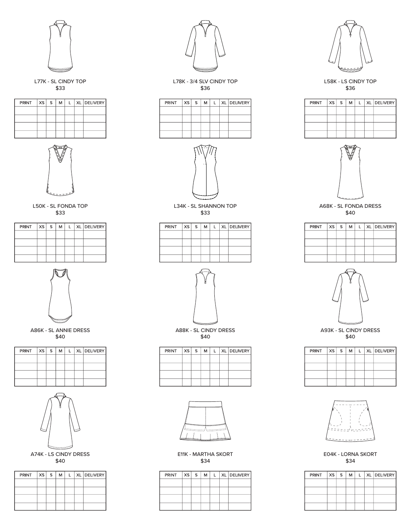

L77K - SL CINDY TOP \$33

| $PRINT$ $ XS S$ |  | M |  | XL DELIVERY |
|-----------------|--|---|--|-------------|
|                 |  |   |  |             |
|                 |  |   |  |             |
|                 |  |   |  |             |
|                 |  |   |  |             |



L50K - SL FONDA TOP \$33

| PRINT $ xs s $ |  | M | $\mathbf{1}$ | XL DELIVERY |
|----------------|--|---|--------------|-------------|
|                |  |   |              |             |
|                |  |   |              |             |
|                |  |   |              |             |
|                |  |   |              |             |



A86K - SL ANNIE DRESS \$40

| $PRINT$ $ XS S$ |  | M |  | XL DELIVERY |
|-----------------|--|---|--|-------------|
|                 |  |   |  |             |
|                 |  |   |  |             |
|                 |  |   |  |             |
|                 |  |   |  |             |



A74K - LS CINDY DRESS \$40

| PRINT XS S |  | M I | $\mathbf{1}$ | XL DELIVERY |
|------------|--|-----|--------------|-------------|
|            |  |     |              |             |
|            |  |     |              |             |
|            |  |     |              |             |
|            |  |     |              |             |



L78K - 3/4 SLV CINDY TOP \$36

| $PRINT$ $ XS S$ |  | м |  | L   XL   DELIVERY |
|-----------------|--|---|--|-------------------|
|                 |  |   |  |                   |
|                 |  |   |  |                   |
|                 |  |   |  |                   |
|                 |  |   |  |                   |



L34K - SL SHANNON TOP \$33

| PRINT XS S |  | м |  | L   XL   DELIVERY |
|------------|--|---|--|-------------------|
|            |  |   |  |                   |
|            |  |   |  |                   |
|            |  |   |  |                   |
|            |  |   |  |                   |



A88K - SL CINDY DRESS \$40

| PRINT | x <sub>S</sub> | S | М | L | XL DELIVERY |
|-------|----------------|---|---|---|-------------|
|       |                |   |   |   |             |
|       |                |   |   |   |             |
|       |                |   |   |   |             |
|       |                |   |   |   |             |



E11K - MARTHA SKORT \$34

| PRINT | $xs \mid s$ | м | $\mathbf{L}$ | XL DELIVERY |
|-------|-------------|---|--------------|-------------|
|       |             |   |              |             |
|       |             |   |              |             |
|       |             |   |              |             |
|       |             |   |              |             |



L58K - LS CINDY TOP \$36

| PRINT | $xs \mid s$ | м | I. | XL   DELIVERY |
|-------|-------------|---|----|---------------|
|       |             |   |    |               |
|       |             |   |    |               |
|       |             |   |    |               |
|       |             |   |    |               |



A68K - SL FONDA DRESS \$40

| PRINT | XS | S. | M | L | XL DELIVERY |
|-------|----|----|---|---|-------------|
|       |    |    |   |   |             |
|       |    |    |   |   |             |
|       |    |    |   |   |             |
|       |    |    |   |   |             |



A93K - SL CINDY DRESS \$40

| PRINT | XS | S. | м | L | XL DELIVERY |
|-------|----|----|---|---|-------------|
|       |    |    |   |   |             |
|       |    |    |   |   |             |
|       |    |    |   |   |             |
|       |    |    |   |   |             |



E04K - LORNA SKORT \$34

| PRINT | $xs \mid s$ | M | L. | XL DELIVERY |
|-------|-------------|---|----|-------------|
|       |             |   |    |             |
|       |             |   |    |             |
|       |             |   |    |             |
|       |             |   |    |             |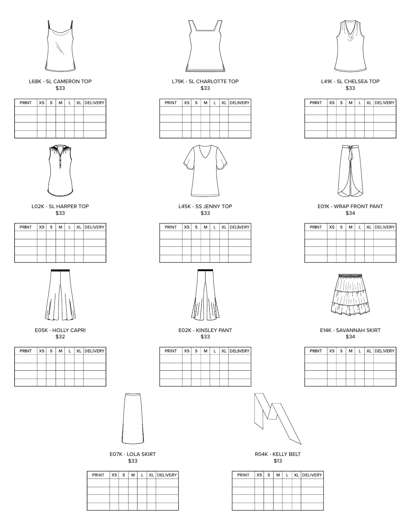

L68K - SL CAMERON TOP \$33

| $PRINT$ $ XS S$ |  | м |  | XL DELIVERY |
|-----------------|--|---|--|-------------|
|                 |  |   |  |             |
|                 |  |   |  |             |
|                 |  |   |  |             |
|                 |  |   |  |             |



L02K - SL HARPER TOP \$33

| $PRINT$ $ XS S $ |  | M | $\mathbf{1}$ | XL DELIVERY |
|------------------|--|---|--------------|-------------|
|                  |  |   |              |             |
|                  |  |   |              |             |
|                  |  |   |              |             |
|                  |  |   |              |             |



E05K - HOLLY CAPRI \$32

| PRINT | $xs \mid s$ | м | L | XL DELIVERY |
|-------|-------------|---|---|-------------|
|       |             |   |   |             |
|       |             |   |   |             |
|       |             |   |   |             |
|       |             |   |   |             |



|  |  |  | PRINT   XS   S   M   L   XL   DELIVERY |
|--|--|--|----------------------------------------|
|  |  |  |                                        |
|  |  |  |                                        |
|  |  |  |                                        |
|  |  |  |                                        |

E.



L45K - SS JENNY TOP \$33

| PRINT | XS S | М | $\mathbf{L}$ | XL DELIVERY |
|-------|------|---|--------------|-------------|
|       |      |   |              |             |
|       |      |   |              |             |
|       |      |   |              |             |
|       |      |   |              |             |



E02K - KINSLEY PANT \$33

| PRINT   XS   S |  | м |  | L   XL   DELIVERY |
|----------------|--|---|--|-------------------|
|                |  |   |  |                   |
|                |  |   |  |                   |
|                |  |   |  |                   |
|                |  |   |  |                   |



R04K - KELLY BELT \$13

| PRINT | xs s | м | $\mathbf{L}$ | XL   DELIVERY |
|-------|------|---|--------------|---------------|
|       |      |   |              |               |
|       |      |   |              |               |
|       |      |   |              |               |
|       |      |   |              |               |



L41K - SL CHELSEA TOP \$33

| PRINT XS S |  | м |  | L   XL   DELIVERY |
|------------|--|---|--|-------------------|
|            |  |   |  |                   |
|            |  |   |  |                   |
|            |  |   |  |                   |
|            |  |   |  |                   |



E01K - WRAP FRONT PANT \$34

| PRINT | xs s | М | L | XL DELIVERY |
|-------|------|---|---|-------------|
|       |      |   |   |             |
|       |      |   |   |             |
|       |      |   |   |             |
|       |      |   |   |             |



E14K - SAVANNAH SKIRT \$34

| PRINT | XS <sub>1</sub> | S. | М | I. | XL DELIVERY |
|-------|-----------------|----|---|----|-------------|
|       |                 |    |   |    |             |
|       |                 |    |   |    |             |
|       |                 |    |   |    |             |
|       |                 |    |   |    |             |



\$33

| $PRINT$ $ XS S$ |  | м | ı. | XL DELIVERY |
|-----------------|--|---|----|-------------|
|                 |  |   |    |             |
|                 |  |   |    |             |
|                 |  |   |    |             |
|                 |  |   |    |             |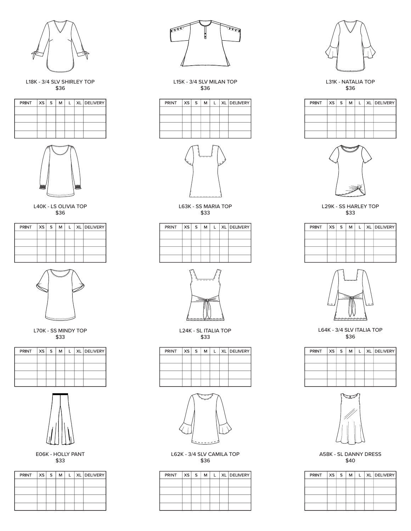

L18K - 3/4 SLV SHIRLEY TOP \$36

| $PRINT$ $ XS S$ |  | M |  | L   XL   DELIVERY |
|-----------------|--|---|--|-------------------|
|                 |  |   |  |                   |
|                 |  |   |  |                   |
|                 |  |   |  |                   |
|                 |  |   |  |                   |



L40K - LS OLIVIA TOP \$36

| PRINT | xs s | м | L | XL DELIVERY |
|-------|------|---|---|-------------|
|       |      |   |   |             |
|       |      |   |   |             |
|       |      |   |   |             |
|       |      |   |   |             |



L70K - SS MINDY TOP \$33

| $PRINT$ $ XS S$ |  | м | $\mathbf{L}$ | XL DELIVERY |
|-----------------|--|---|--------------|-------------|
|                 |  |   |              |             |
|                 |  |   |              |             |
|                 |  |   |              |             |
|                 |  |   |              |             |



E06K - HOLLY PANT \$33

| $PRINT$ $ XS S$ |  | М |  | XL DELIVERY |
|-----------------|--|---|--|-------------|
|                 |  |   |  |             |
|                 |  |   |  |             |
|                 |  |   |  |             |
|                 |  |   |  |             |



L15K - 3/4 SLV MILAN TOP \$36

| $PRINT$ $ XS S$ |  | м | $\perp$ | XL DELIVERY |
|-----------------|--|---|---------|-------------|
|                 |  |   |         |             |
|                 |  |   |         |             |
|                 |  |   |         |             |
|                 |  |   |         |             |



L63K - SS MARIA TOP \$33

| $PRINT$ $ XS S$ |  | м | ı. | XL DELIVERY |
|-----------------|--|---|----|-------------|
|                 |  |   |    |             |
|                 |  |   |    |             |
|                 |  |   |    |             |
|                 |  |   |    |             |



L24K - SL ITALIA TOP \$33

| PRINT XS S |  | м | $\mathbf{I}$ | XL DELIVERY |
|------------|--|---|--------------|-------------|
|            |  |   |              |             |
|            |  |   |              |             |
|            |  |   |              |             |
|            |  |   |              |             |



L62K - 3/4 SLV CAMILA TOP \$36

| PRINT | $xs \mid s$ | м |  | XL DELIVERY |
|-------|-------------|---|--|-------------|
|       |             |   |  |             |
|       |             |   |  |             |
|       |             |   |  |             |
|       |             |   |  |             |



L31K - NATALIA TOP \$36





L29K - SS HARLEY TOP \$33

| PRINT   XS | S. | M | ı. | XL DELIVERY |
|------------|----|---|----|-------------|
|            |    |   |    |             |
|            |    |   |    |             |
|            |    |   |    |             |
|            |    |   |    |             |



L64K - 3/4 SLV ITALIA TOP \$36

| PRINT | xs <sub>1</sub> | S. | M | L | XL DELIVERY |
|-------|-----------------|----|---|---|-------------|
|       |                 |    |   |   |             |
|       |                 |    |   |   |             |
|       |                 |    |   |   |             |
|       |                 |    |   |   |             |
|       |                 |    |   |   |             |
|       |                 |    |   |   |             |
|       |                 |    |   |   |             |



A58K - SL DANNY DRESS \$40

| PRINT   XS | S. | M | ı. | XL DELIVERY |
|------------|----|---|----|-------------|
|            |    |   |    |             |
|            |    |   |    |             |
|            |    |   |    |             |
|            |    |   |    |             |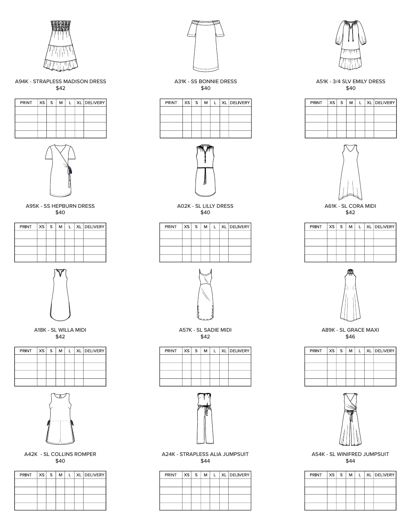

A94K - STRAPLESS MADISON DRESS \$42

| PRINT XS S |  | м | $\mathbf{L}$ | XL DELIVERY |
|------------|--|---|--------------|-------------|
|            |  |   |              |             |
|            |  |   |              |             |
|            |  |   |              |             |
|            |  |   |              |             |



A95K - SS HEPBURN DRESS \$40

| $PRINT$ $ XS S$ |  | M I | $\mathbf{L}$ | XL DELIVERY |
|-----------------|--|-----|--------------|-------------|
|                 |  |     |              |             |
|                 |  |     |              |             |
|                 |  |     |              |             |
|                 |  |     |              |             |



A18K - SL WILLA MIDI \$42

| PRINT $ xs s$ |  | M | L | XL DELIVERY |
|---------------|--|---|---|-------------|
|               |  |   |   |             |
|               |  |   |   |             |
|               |  |   |   |             |
|               |  |   |   |             |



A42K - SL COLLINS ROMPER \$40

| PRINT $ XS S $ |  | M | L | XL DELIVERY |
|----------------|--|---|---|-------------|
|                |  |   |   |             |
|                |  |   |   |             |
|                |  |   |   |             |
|                |  |   |   |             |



A31K - SS BONNIE DRESS \$40

| PRINT XS S |  | M |  | XL DELIVERY |
|------------|--|---|--|-------------|
|            |  |   |  |             |
|            |  |   |  |             |
|            |  |   |  |             |
|            |  |   |  |             |



A02K - SL LILLY DRESS \$40

| PRINT | $xs \mid s$ | м | $\mathbf{L}$ | XL DELIVERY |
|-------|-------------|---|--------------|-------------|
|       |             |   |              |             |
|       |             |   |              |             |
|       |             |   |              |             |
|       |             |   |              |             |



A57K - SL SADIE MIDI \$42

| PRINT | xs s | M | L | XL DELIVERY |
|-------|------|---|---|-------------|
|       |      |   |   |             |
|       |      |   |   |             |
|       |      |   |   |             |
|       |      |   |   |             |



A24K - STRAPLESS ALIA JUMPSUIT \$44

| PRINT | xs s | м | $\mathbf{L}$ | XL DELIVERY |
|-------|------|---|--------------|-------------|
|       |      |   |              |             |
|       |      |   |              |             |
|       |      |   |              |             |
|       |      |   |              |             |



A51K - 3/4 SLV EMILY DRESS \$40





A61K - SL CORA MIDI \$42

| $PRINT$ $ XS S$ |  | м | $\mathbf{L}$ | XL   DELIVERY |
|-----------------|--|---|--------------|---------------|
|                 |  |   |              |               |
|                 |  |   |              |               |
|                 |  |   |              |               |
|                 |  |   |              |               |



A89K - SL GRACE MAXI \$46

| <b>PRINT</b> | $xs \mid s$ | м | L. | XL DELIVERY |
|--------------|-------------|---|----|-------------|
|              |             |   |    |             |
|              |             |   |    |             |
|              |             |   |    |             |
|              |             |   |    |             |



A54K - SL WINIFRED JUMPSUIT \$44

| PRINT XS S |  | м | $\mathbf{I}$ | XL DELIVERY |
|------------|--|---|--------------|-------------|
|            |  |   |              |             |
|            |  |   |              |             |
|            |  |   |              |             |
|            |  |   |              |             |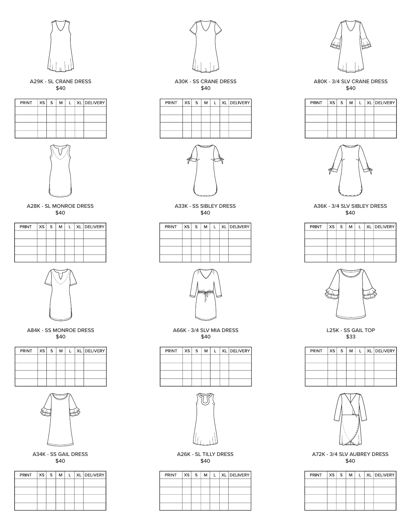

A29K - SL CRANE DRESS \$40

| $PRINT$ $ XS S M$ |  |  | L   XL   DELIVERY |
|-------------------|--|--|-------------------|
|                   |  |  |                   |
|                   |  |  |                   |
|                   |  |  |                   |
|                   |  |  |                   |



A28K - SL MONROE DRESS \$40

|  |  |  | PRINT   XS   S   M   L   XL   DELIVERY |
|--|--|--|----------------------------------------|
|  |  |  |                                        |
|  |  |  |                                        |
|  |  |  |                                        |
|  |  |  |                                        |



A84K - SS MONROE DRESS \$40

| PRINT $ xs s $ |  | м |  | L   XL   DELIVERY |
|----------------|--|---|--|-------------------|
|                |  |   |  |                   |
|                |  |   |  |                   |
|                |  |   |  |                   |
|                |  |   |  |                   |



A34K - SS GAIL DRESS \$40

| PRINT XS S |  | M | I. | XL DELIVERY |
|------------|--|---|----|-------------|
|            |  |   |    |             |
|            |  |   |    |             |
|            |  |   |    |             |
|            |  |   |    |             |



A30K - SS CRANE DRESS \$40

| $PRINT$ $ XS S$ |  | M | L | XL DELIVERY |
|-----------------|--|---|---|-------------|
|                 |  |   |   |             |
|                 |  |   |   |             |
|                 |  |   |   |             |
|                 |  |   |   |             |



A33K - SS SIBLEY DRESS \$40

| PRINT XS S |  | м | $\mathbf{L}$ | XL DELIVERY |
|------------|--|---|--------------|-------------|
|            |  |   |              |             |
|            |  |   |              |             |
|            |  |   |              |             |
|            |  |   |              |             |



A66K - 3/4 SLV MIA DRESS \$40

| PRINT | $XS \rvert S$ | M |  | XL DELIVERY |
|-------|---------------|---|--|-------------|
|       |               |   |  |             |
|       |               |   |  |             |
|       |               |   |  |             |
|       |               |   |  |             |



A26K - SL TILLY DRESS \$40

| $PRINT$ $ XS S$ |  | M | $\mathsf{L}$ | XL DELIVERY |
|-----------------|--|---|--------------|-------------|
|                 |  |   |              |             |
|                 |  |   |              |             |
|                 |  |   |              |             |
|                 |  |   |              |             |



A80K - 3/4 SLV CRANE DRESS \$40

| $PRINT$ $ XS S $ |  | м |  | L   XL   DELIVERY |
|------------------|--|---|--|-------------------|
|                  |  |   |  |                   |
|                  |  |   |  |                   |
|                  |  |   |  |                   |
|                  |  |   |  |                   |



A36K - 3/4 SLV SIBLEY DRESS \$40

| PRINT XS S |  | м | $\mathbf{L}$ | XL DELIVERY |
|------------|--|---|--------------|-------------|
|            |  |   |              |             |
|            |  |   |              |             |
|            |  |   |              |             |
|            |  |   |              |             |



L25K - SS GAIL TOP \$33

| PRINT | XS S | м | L. | XL   DELIVERY |
|-------|------|---|----|---------------|
|       |      |   |    |               |
|       |      |   |    |               |
|       |      |   |    |               |
|       |      |   |    |               |



A72K - 3/4 SLV AUBREY DRESS \$40

| <b>PRINT</b> | xs s | M | L | XL DELIVERY |
|--------------|------|---|---|-------------|
|              |      |   |   |             |
|              |      |   |   |             |
|              |      |   |   |             |
|              |      |   |   |             |